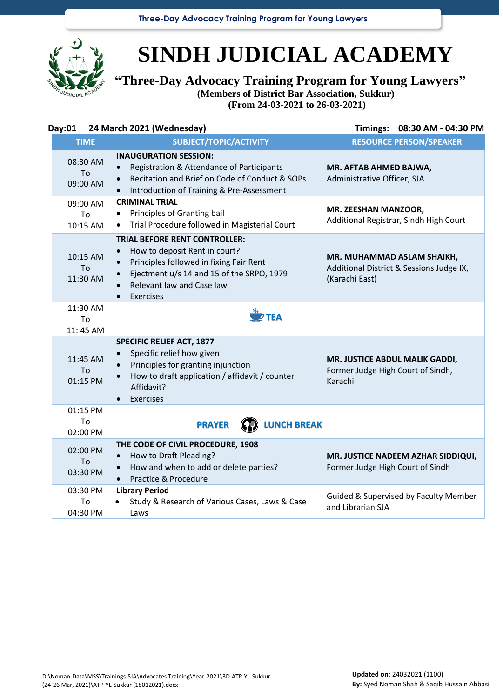**Three-Day Advocacy Training Program for Young Lawyers**



## **SINDH JUDICIAL ACADEMY**

**"Three-Day Advocacy Training Program for Young Lawyers"**

**(Members of District Bar Association, Sukkur)**

**(From 24-03-2021 to 26-03-2021)**

| Day:01                     | 24 March 2021 (Wednesday)                                                                                                                                                                                                                      | Timings:<br>08:30 AM - 04:30 PM                                                          |
|----------------------------|------------------------------------------------------------------------------------------------------------------------------------------------------------------------------------------------------------------------------------------------|------------------------------------------------------------------------------------------|
| <b>TIME</b>                | SUBJECT/TOPIC/ACTIVITY                                                                                                                                                                                                                         | <b>RESOURCE PERSON/SPEAKER</b>                                                           |
| 08:30 AM<br>To<br>09:00 AM | <b>INAUGURATION SESSION:</b><br>Registration & Attendance of Participants<br>Recitation and Brief on Code of Conduct & SOPs<br>$\bullet$<br>Introduction of Training & Pre-Assessment<br>$\bullet$                                             | MR. AFTAB AHMED BAJWA,<br>Administrative Officer, SJA                                    |
| 09:00 AM<br>To<br>10:15 AM | <b>CRIMINAL TRIAL</b><br>Principles of Granting bail<br>Trial Procedure followed in Magisterial Court<br>$\bullet$                                                                                                                             | MR. ZEESHAN MANZOOR,<br>Additional Registrar, Sindh High Court                           |
| 10:15 AM<br>To<br>11:30 AM | <b>TRIAL BEFORE RENT CONTROLLER:</b><br>How to deposit Rent in court?<br>$\bullet$<br>Principles followed in fixing Fair Rent<br>Ejectment u/s 14 and 15 of the SRPO, 1979<br>$\bullet$<br>Relevant law and Case law<br>Exercises<br>$\bullet$ | MR. MUHAMMAD ASLAM SHAIKH,<br>Additional District & Sessions Judge IX,<br>(Karachi East) |
| 11:30 AM<br>To<br>11:45 AM | $\overline{\mathscr{L}}$ TEA                                                                                                                                                                                                                   |                                                                                          |
| 11:45 AM<br>To<br>01:15 PM | <b>SPECIFIC RELIEF ACT, 1877</b><br>Specific relief how given<br>$\bullet$<br>Principles for granting injunction<br>$\bullet$<br>How to draft application / affidavit / counter<br>Affidavit?<br>Exercises<br>$\bullet$                        | MR. JUSTICE ABDUL MALIK GADDI,<br>Former Judge High Court of Sindh,<br>Karachi           |
| 01:15 PM<br>To<br>02:00 PM | <b>PRAYER</b><br><b>LUNCH BREAK</b>                                                                                                                                                                                                            |                                                                                          |
| 02:00 PM<br>To<br>03:30 PM | THE CODE OF CIVIL PROCEDURE, 1908<br>How to Draft Pleading?<br>How and when to add or delete parties?<br>$\bullet$<br>Practice & Procedure<br>$\bullet$                                                                                        | MR. JUSTICE NADEEM AZHAR SIDDIQUI,<br>Former Judge High Court of Sindh                   |
| 03:30 PM<br>To<br>04:30 PM | <b>Library Period</b><br>Study & Research of Various Cases, Laws & Case<br>Laws                                                                                                                                                                | Guided & Supervised by Faculty Member<br>and Librarian SJA                               |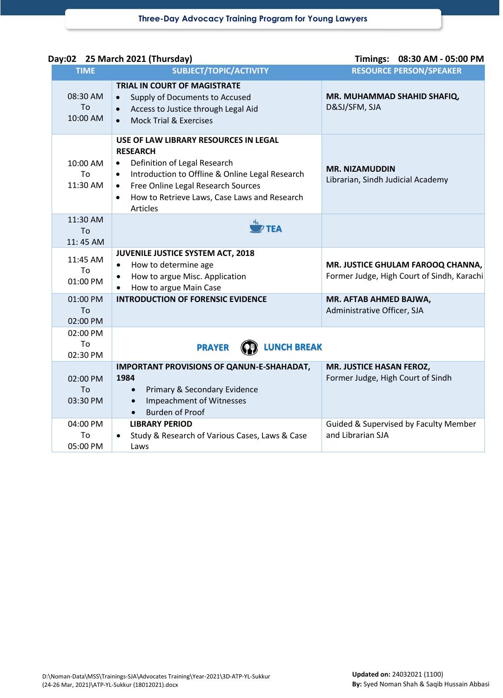|                            | Day:02 25 March 2021 (Thursday)                                                                                                                                                                                                                                                             | Timings: 08:30 AM - 05:00 PM                                                    |
|----------------------------|---------------------------------------------------------------------------------------------------------------------------------------------------------------------------------------------------------------------------------------------------------------------------------------------|---------------------------------------------------------------------------------|
| <b>TIME</b>                | SUBJECT/TOPIC/ACTIVITY                                                                                                                                                                                                                                                                      | <b>RESOURCE PERSON/SPEAKER</b>                                                  |
| 08:30 AM<br>To<br>10:00 AM | <b>TRIAL IN COURT OF MAGISTRATE</b><br>Supply of Documents to Accused<br>$\bullet$<br>Access to Justice through Legal Aid<br>$\bullet$<br><b>Mock Trial &amp; Exercises</b><br>$\bullet$                                                                                                    | MR. MUHAMMAD SHAHID SHAFIQ,<br>D&SJ/SFM, SJA                                    |
| 10:00 AM<br>To<br>11:30 AM | USE OF LAW LIBRARY RESOURCES IN LEGAL<br><b>RESEARCH</b><br>Definition of Legal Research<br>$\bullet$<br>Introduction to Offline & Online Legal Research<br>$\bullet$<br>Free Online Legal Research Sources<br>$\bullet$<br>How to Retrieve Laws, Case Laws and Research<br><b>Articles</b> | <b>MR. NIZAMUDDIN</b><br>Librarian, Sindh Judicial Academy                      |
| 11:30 AM<br>To<br>11:45 AM | $P$ TEA                                                                                                                                                                                                                                                                                     |                                                                                 |
| 11:45 AM<br>To<br>01:00 PM | JUVENILE JUSTICE SYSTEM ACT, 2018<br>How to determine age<br>$\bullet$<br>How to argue Misc. Application<br>How to argue Main Case                                                                                                                                                          | MR. JUSTICE GHULAM FAROOQ CHANNA,<br>Former Judge, High Court of Sindh, Karachi |
| 01:00 PM<br>To<br>02:00 PM | <b>INTRODUCTION OF FORENSIC EVIDENCE</b>                                                                                                                                                                                                                                                    | MR. AFTAB AHMED BAJWA,<br>Administrative Officer, SJA                           |
| 02:00 PM<br>To<br>02:30 PM | <b>LUNCH BREAK</b><br><b>PRAYER</b>                                                                                                                                                                                                                                                         |                                                                                 |
| 02:00 PM<br>To<br>03:30 PM | IMPORTANT PROVISIONS OF QANUN-E-SHAHADAT,<br>1984<br>Primary & Secondary Evidence<br>$\bullet$<br><b>Impeachment of Witnesses</b><br>$\bullet$<br><b>Burden of Proof</b><br>$\bullet$                                                                                                       | MR. JUSTICE HASAN FEROZ,<br>Former Judge, High Court of Sindh                   |
| 04:00 PM<br>To<br>05:00 PM | <b>LIBRARY PERIOD</b><br>Study & Research of Various Cases, Laws & Case<br>Laws                                                                                                                                                                                                             | Guided & Supervised by Faculty Member<br>and Librarian SJA                      |